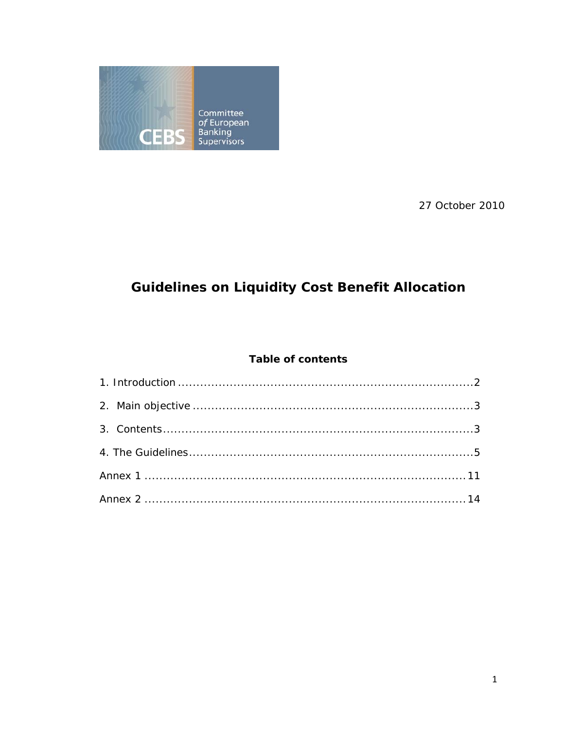

27 October 2010

# **Guidelines on Liquidity Cost Benefit Allocation**

# **Table of contents**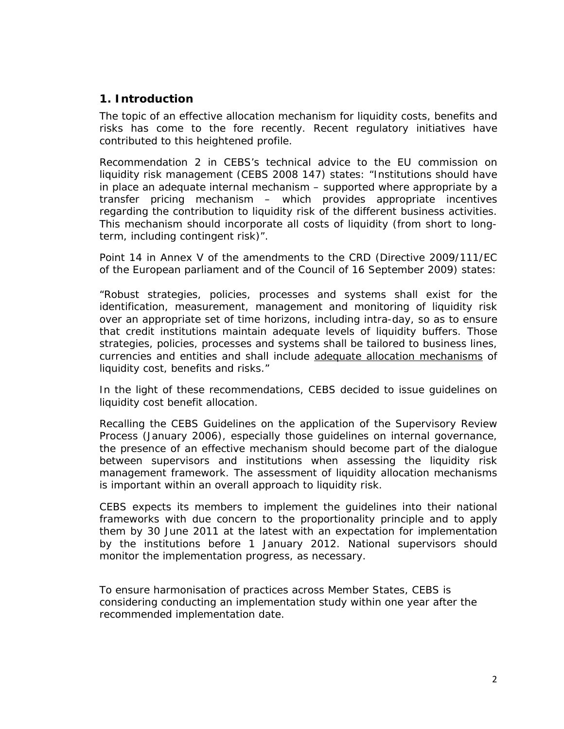# **1. Introduction**

The topic of an effective allocation mechanism for liquidity costs, benefits and risks has come to the fore recently. Recent regulatory initiatives have contributed to this heightened profile.

Recommendation 2 in CEBS's technical advice to the EU commission on liquidity risk management (CEBS 2008 147) states: "Institutions should have in place an adequate internal mechanism – supported where appropriate by a transfer pricing mechanism – which provides appropriate incentives regarding the contribution to liquidity risk of the different business activities. This mechanism should incorporate all costs of liquidity (from short to longterm, including contingent risk)".

Point 14 in Annex V of the amendments to the CRD (Directive 2009/111/EC of the European parliament and of the Council of 16 September 2009) states:

"Robust strategies, policies, processes and systems shall exist for the identification, measurement, management and monitoring of liquidity risk over an appropriate set of time horizons, including intra-day, so as to ensure that credit institutions maintain adequate levels of liquidity buffers. Those strategies, policies, processes and systems shall be tailored to business lines, currencies and entities and shall include adequate allocation mechanisms of liquidity cost, benefits and risks."

In the light of these recommendations, CEBS decided to issue guidelines on liquidity cost benefit allocation.

Recalling the CEBS Guidelines on the application of the Supervisory Review Process (January 2006), especially those guidelines on internal governance, the presence of an effective mechanism should become part of the dialogue between supervisors and institutions when assessing the liquidity risk management framework. The assessment of liquidity allocation mechanisms is important within an overall approach to liquidity risk.

CEBS expects its members to implement the guidelines into their national frameworks with due concern to the proportionality principle and to apply them by 30 June 2011 at the latest with an expectation for implementation by the institutions before 1 January 2012. National supervisors should monitor the implementation progress, as necessary.

To ensure harmonisation of practices across Member States, CEBS is considering conducting an implementation study within one year after the recommended implementation date.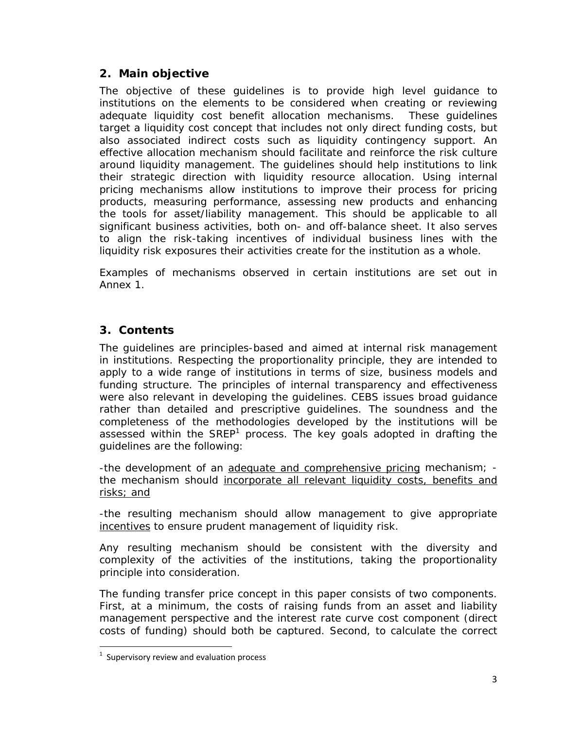# **2. Main objective**

The objective of these guidelines is to provide high level guidance to institutions on the elements to be considered when creating or reviewing adequate liquidity cost benefit allocation mechanisms. These guidelines target a liquidity cost concept that includes not only direct funding costs, but also associated indirect costs such as liquidity contingency support. An effective allocation mechanism should facilitate and reinforce the risk culture around liquidity management. The guidelines should help institutions to link their strategic direction with liquidity resource allocation. Using internal pricing mechanisms allow institutions to improve their process for pricing products, measuring performance, assessing new products and enhancing the tools for asset/liability management. This should be applicable to all significant business activities, both on- and off-balance sheet. It also serves to align the risk-taking incentives of individual business lines with the liquidity risk exposures their activities create for the institution as a whole.

Examples of mechanisms observed in certain institutions are set out in Annex 1.

# **3. Contents**

The guidelines are principles-based and aimed at internal risk management in institutions. Respecting the proportionality principle, they are intended to apply to a wide range of institutions in terms of size, business models and funding structure. The principles of internal transparency and effectiveness were also relevant in developing the guidelines. CEBS issues broad guidance rather than detailed and prescriptive guidelines. The soundness and the completeness of the methodologies developed by the institutions will be assessed within the SREP<sup>1</sup> process. The key goals adopted in drafting the guidelines are the following:

-the development of an adequate and comprehensive pricing mechanism; the mechanism should incorporate all relevant liquidity costs, benefits and risks; and

-the resulting mechanism should allow management to give appropriate incentives to ensure prudent management of liquidity risk.

Any resulting mechanism should be consistent with the diversity and complexity of the activities of the institutions, taking the proportionality principle into consideration.

The funding transfer price concept in this paper consists of two components. First, at a minimum, the costs of raising funds from an asset and liability management perspective and the interest rate curve cost component (direct costs of funding) should both be captured. Second, to calculate the correct

 $1$  Supervisory review and evaluation process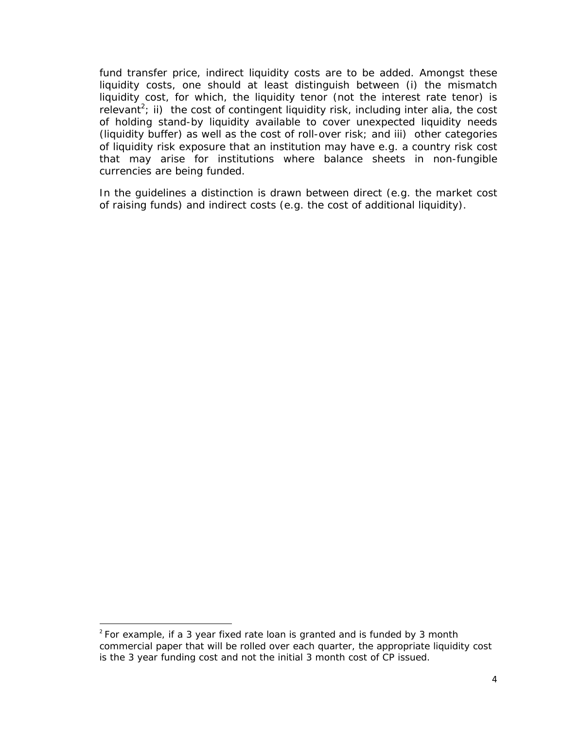fund transfer price, indirect liquidity costs are to be added. Amongst these liquidity costs, one should at least distinguish between (i) the mismatch liquidity cost, for which, the liquidity tenor (not the interest rate tenor) is relevant<sup>2</sup>; ii) the cost of contingent liquidity risk, including inter alia, the cost of holding stand-by liquidity available to cover unexpected liquidity needs (liquidity buffer) as well as the cost of roll-over risk; and iii) other categories of liquidity risk exposure that an institution may have e.g. a country risk cost that may arise for institutions where balance sheets in non-fungible currencies are being funded.

In the guidelines a distinction is drawn between direct (e.g. the market cost of raising funds) and indirect costs (e.g. the cost of additional liquidity).

 $2$  For example, if a 3 year fixed rate loan is granted and is funded by 3 month commercial paper that will be rolled over each quarter, the appropriate liquidity cost is the 3 year funding cost and not the initial 3 month cost of CP issued.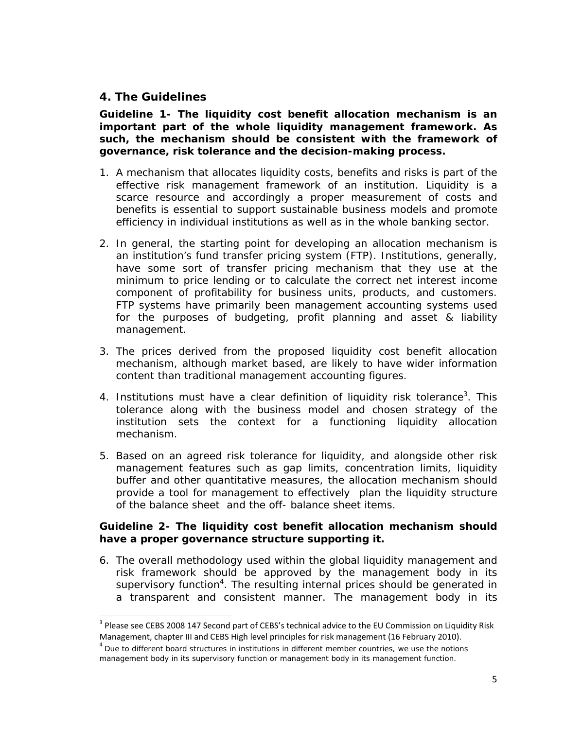# **4. The Guidelines**

**Guideline 1- The liquidity cost benefit allocation mechanism is an important part of the whole liquidity management framework. As such, the mechanism should be consistent with the framework of governance, risk tolerance and the decision-making process.** 

- 1. A mechanism that allocates liquidity costs, benefits and risks is part of the effective risk management framework of an institution. Liquidity is a scarce resource and accordingly a proper measurement of costs and benefits is essential to support sustainable business models and promote efficiency in individual institutions as well as in the whole banking sector.
- 2. In general, the starting point for developing an allocation mechanism is an institution's fund transfer pricing system (FTP). Institutions, generally, have some sort of transfer pricing mechanism that they use at the minimum to price lending or to calculate the correct net interest income component of profitability for business units, products, and customers. FTP systems have primarily been management accounting systems used for the purposes of budgeting, profit planning and asset & liability management.
- 3. The prices derived from the proposed liquidity cost benefit allocation mechanism, although market based, are likely to have wider information content than traditional management accounting figures.
- 4. Institutions must have a clear definition of liquidity risk tolerance<sup>3</sup>. This tolerance along with the business model and chosen strategy of the institution sets the context for a functioning liquidity allocation mechanism.
- 5. Based on an agreed risk tolerance for liquidity, and alongside other risk management features such as gap limits, concentration limits, liquidity buffer and other quantitative measures, the allocation mechanism should provide a tool for management to effectively plan the liquidity structure of the balance sheet and the off- balance sheet items.

#### **Guideline 2- The liquidity cost benefit allocation mechanism should have a proper governance structure supporting it.**

6. The overall methodology used within the global liquidity management and risk framework should be approved by the management body in its supervisory function<sup>4</sup>. The resulting internal prices should be generated in a transparent and consistent manner. The management body in its

<sup>&</sup>lt;sup>3</sup> Please see CEBS 2008 147 Second part of CEBS's technical advice to the EU Commission on Liquidity Risk Management, chapter III and CEBS High level principles for risk management (16 February 2010).<br><sup>4</sup> Due to different board structures in institutions in different member countries, we use the notions

management body in its supervisory function or management body in its management function.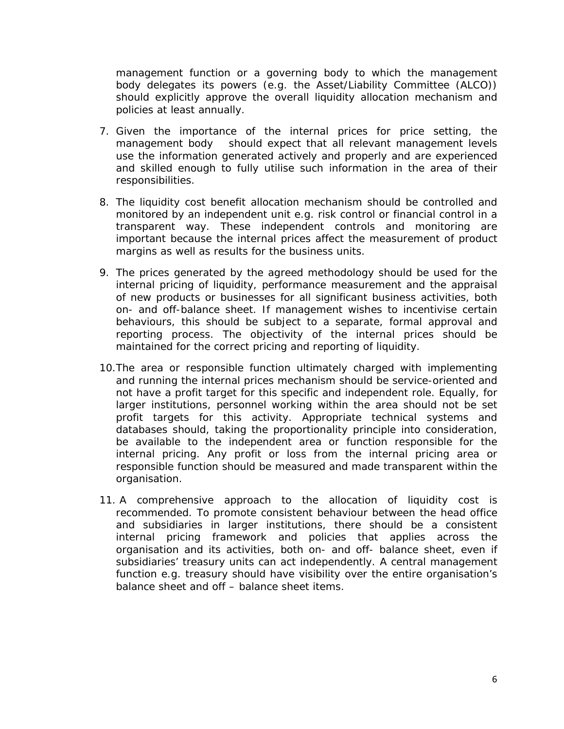management function or a governing body to which the management body delegates its powers (e.g. the Asset/Liability Committee (ALCO)) should explicitly approve the overall liquidity allocation mechanism and policies at least annually.

- 7. Given the importance of the internal prices for price setting, the management body should expect that all relevant management levels use the information generated actively and properly and are experienced and skilled enough to fully utilise such information in the area of their responsibilities.
- 8. The liquidity cost benefit allocation mechanism should be controlled and monitored by an independent unit e.g. risk control or financial control in a transparent way. These independent controls and monitoring are important because the internal prices affect the measurement of product margins as well as results for the business units.
- 9. The prices generated by the agreed methodology should be used for the internal pricing of liquidity, performance measurement and the appraisal of new products or businesses for all significant business activities, both on- and off-balance sheet. If management wishes to incentivise certain behaviours, this should be subject to a separate, formal approval and reporting process. The objectivity of the internal prices should be maintained for the correct pricing and reporting of liquidity.
- 10.The area or responsible function ultimately charged with implementing and running the internal prices mechanism should be service-oriented and not have a profit target for this specific and independent role. Equally, for larger institutions, personnel working within the area should not be set profit targets for this activity. Appropriate technical systems and databases should, taking the proportionality principle into consideration, be available to the independent area or function responsible for the internal pricing. Any profit or loss from the internal pricing area or responsible function should be measured and made transparent within the organisation.
- 11. A comprehensive approach to the allocation of liquidity cost is recommended. To promote consistent behaviour between the head office and subsidiaries in larger institutions, there should be a consistent internal pricing framework and policies that applies across the organisation and its activities, both on- and off- balance sheet, even if subsidiaries' treasury units can act independently. A central management function e.g. treasury should have visibility over the entire organisation's balance sheet and off – balance sheet items.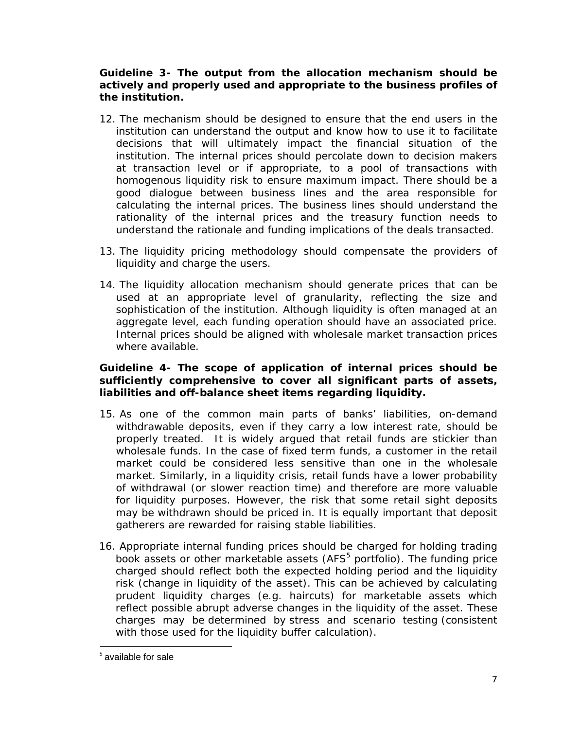#### **Guideline 3- The output from the allocation mechanism should be actively and properly used and appropriate to the business profiles of the institution.**

- 12. The mechanism should be designed to ensure that the end users in the institution can understand the output and know how to use it to facilitate decisions that will ultimately impact the financial situation of the institution. The internal prices should percolate down to decision makers at transaction level or if appropriate, to a pool of transactions with homogenous liquidity risk to ensure maximum impact. There should be a good dialogue between business lines and the area responsible for calculating the internal prices. The business lines should understand the rationality of the internal prices and the treasury function needs to understand the rationale and funding implications of the deals transacted.
- 13. The liquidity pricing methodology should compensate the providers of liquidity and charge the users.
- 14. The liquidity allocation mechanism should generate prices that can be used at an appropriate level of granularity, reflecting the size and sophistication of the institution. Although liquidity is often managed at an aggregate level, each funding operation should have an associated price. Internal prices should be aligned with wholesale market transaction prices where available.

#### **Guideline 4- The scope of application of internal prices should be sufficiently comprehensive to cover all significant parts of assets, liabilities and off-balance sheet items regarding liquidity.**

- 15. As one of the common main parts of banks' liabilities, on-demand withdrawable deposits, even if they carry a low interest rate, should be properly treated.It is widely argued that retail funds are stickier than wholesale funds. In the case of fixed term funds, a customer in the retail market could be considered less sensitive than one in the wholesale market. Similarly, in a liquidity crisis, retail funds have a lower probability of withdrawal (or slower reaction time) and therefore are more valuable for liquidity purposes. However, the risk that some retail sight deposits may be withdrawn should be priced in. It is equally important that deposit gatherers are rewarded for raising stable liabilities.
- 16. Appropriate internal funding prices should be charged for holding trading book assets or other marketable assets (AFS<sup>5</sup> portfolio). The funding price charged should reflect both the expected holding period and the liquidity risk (change in liquidity of the asset). This can be achieved by calculating prudent liquidity charges (e.g. haircuts) for marketable assets which reflect possible abrupt adverse changes in the liquidity of the asset. These charges may be determined by stress and scenario testing (consistent with those used for the liquidity buffer calculation).

 $<sup>5</sup>$  available for sale</sup>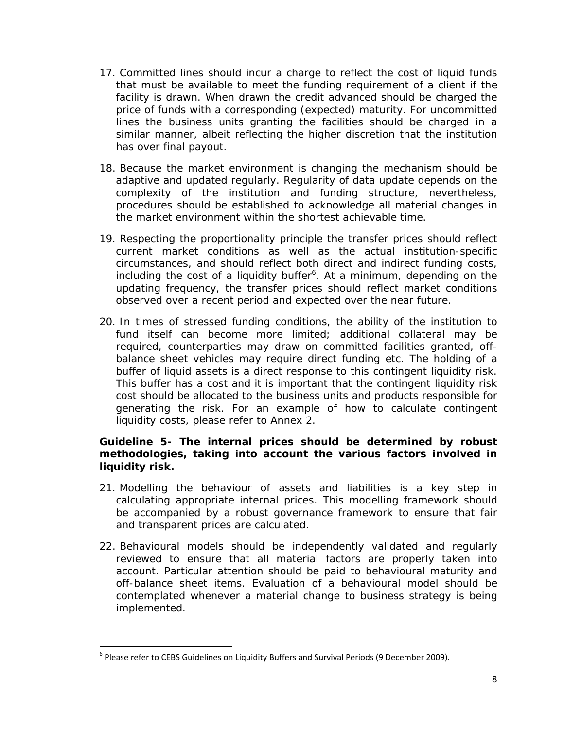- 17. Committed lines should incur a charge to reflect the cost of liquid funds that must be available to meet the funding requirement of a client if the facility is drawn. When drawn the credit advanced should be charged the price of funds with a corresponding (expected) maturity. For uncommitted lines the business units granting the facilities should be charged in a similar manner, albeit reflecting the higher discretion that the institution has over final payout.
- 18. Because the market environment is changing the mechanism should be adaptive and updated regularly. Regularity of data update depends on the complexity of the institution and funding structure, nevertheless, procedures should be established to acknowledge all material changes in the market environment within the shortest achievable time.
- 19. Respecting the proportionality principle the transfer prices should reflect current market conditions as well as the actual institution-specific circumstances, and should reflect both direct and indirect funding costs, including the cost of a liquidity buffer<sup>6</sup>. At a minimum, depending on the updating frequency, the transfer prices should reflect market conditions observed over a recent period and expected over the near future.
- 20. In times of stressed funding conditions, the ability of the institution to fund itself can become more limited; additional collateral may be required, counterparties may draw on committed facilities granted, offbalance sheet vehicles may require direct funding etc. The holding of a buffer of liquid assets is a direct response to this contingent liquidity risk. This buffer has a cost and it is important that the contingent liquidity risk cost should be allocated to the business units and products responsible for generating the risk. For an example of how to calculate contingent liquidity costs, please refer to Annex 2.

#### **Guideline 5- The internal prices should be determined by robust methodologies, taking into account the various factors involved in liquidity risk.**

- 21. Modelling the behaviour of assets and liabilities is a key step in calculating appropriate internal prices. This modelling framework should be accompanied by a robust governance framework to ensure that fair and transparent prices are calculated.
- 22. Behavioural models should be independently validated and regularly reviewed to ensure that all material factors are properly taken into account. Particular attention should be paid to behavioural maturity and off-balance sheet items. Evaluation of a behavioural model should be contemplated whenever a material change to business strategy is being implemented.

 $6$  Please refer to CEBS Guidelines on Liquidity Buffers and Survival Periods (9 December 2009).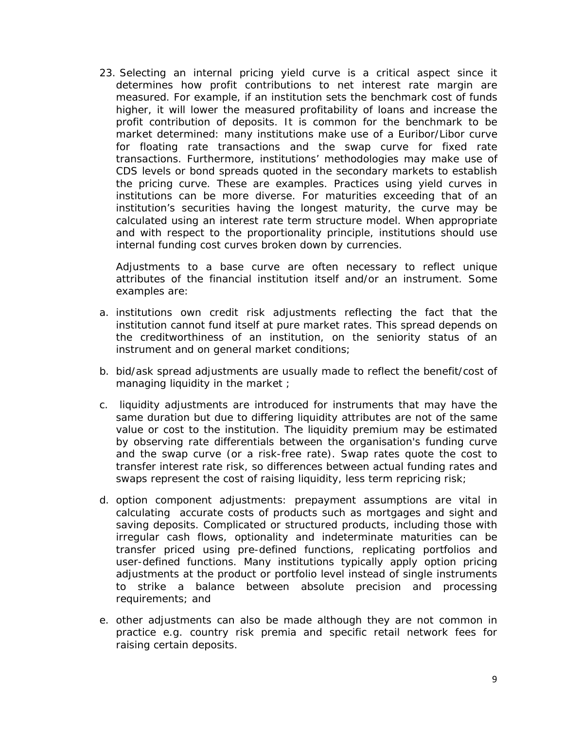23. Selecting an internal pricing yield curve is a critical aspect since it determines how profit contributions to net interest rate margin are measured. For example, if an institution sets the benchmark cost of funds higher, it will lower the measured profitability of loans and increase the profit contribution of deposits. It is common for the benchmark to be market determined: many institutions make use of a Euribor/Libor curve for floating rate transactions and the swap curve for fixed rate transactions. Furthermore, institutions' methodologies may make use of CDS levels or bond spreads quoted in the secondary markets to establish the pricing curve. These are examples. Practices using yield curves in institutions can be more diverse. For maturities exceeding that of an institution's securities having the longest maturity, the curve may be calculated using an interest rate term structure model. When appropriate and with respect to the proportionality principle, institutions should use internal funding cost curves broken down by currencies.

Adjustments to a base curve are often necessary to reflect unique attributes of the financial institution itself and/or an instrument. Some examples are:

- *a. institutions own credit risk adjustments* reflecting the fact that the institution cannot fund itself at pure market rates. This spread depends on the creditworthiness of an institution, on the seniority status of an instrument and on general market conditions;
- b. *bid/ask spread adjustments* are usually made to reflect the benefit/cost of managing liquidity in the market ;
- c. *liquidity adjustments* are introduced for instruments that may have the same duration but due to differing liquidity attributes are not of the same value or cost to the institution. The liquidity premium may be estimated by observing rate differentials between the organisation's funding curve and the swap curve (or a risk-free rate). Swap rates quote the cost to transfer interest rate risk, so differences between actual funding rates and swaps represent the cost of raising liquidity, less term repricing risk;
- d. *option component adjustments*: prepayment assumptions are vital in calculating accurate costs of products such as mortgages and sight and saving deposits. Complicated or structured products, including those with irregular cash flows, optionality and indeterminate maturities can be transfer priced using pre-defined functions, replicating portfolios and user-defined functions. Many institutions typically apply option pricing adjustments at the product or portfolio level instead of single instruments to strike a balance between absolute precision and processing requirements; and
- e. other adjustments can also be made although they are not common in practice e.g. country risk premia and specific retail network fees for raising certain deposits.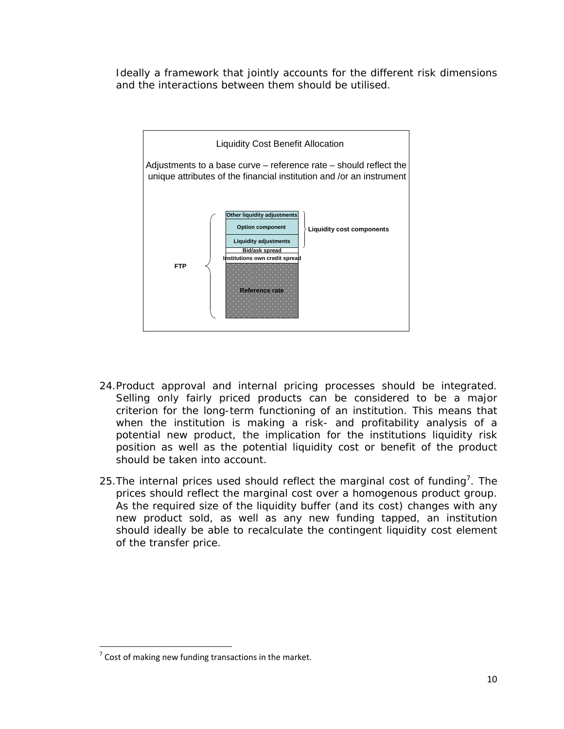Ideally a framework that jointly accounts for the different risk dimensions and the interactions between them should be utilised.



- 24.Product approval and internal pricing processes should be integrated. Selling only fairly priced products can be considered to be a major criterion for the long-term functioning of an institution. This means that when the institution is making a risk- and profitability analysis of a potential new product, the implication for the institutions liquidity risk position as well as the potential liquidity cost or benefit of the product should be taken into account.
- 25. The internal prices used should reflect the marginal cost of funding<sup>7</sup>. The prices should reflect the marginal cost over a homogenous product group. As the required size of the liquidity buffer (and its cost) changes with any new product sold, as well as any new funding tapped, an institution should ideally be able to recalculate the contingent liquidity cost element of the transfer price.

 $<sup>7</sup>$  Cost of making new funding transactions in the market.</sup>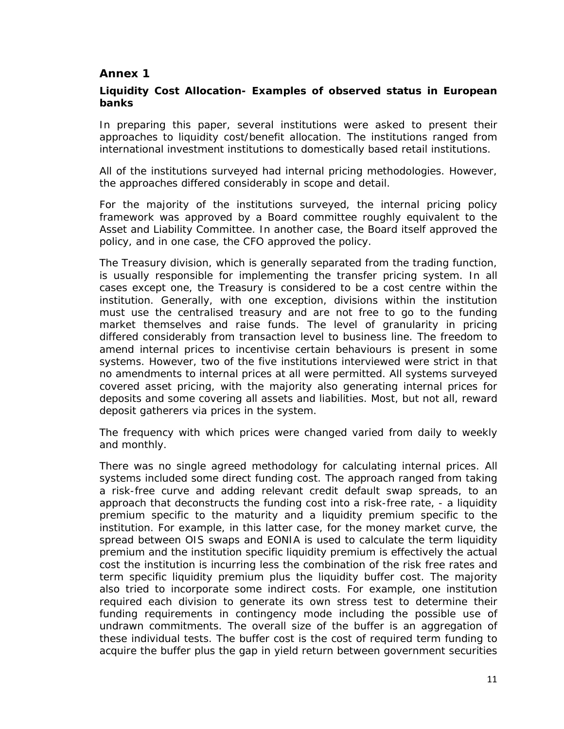#### **Annex 1**

#### **Liquidity Cost Allocation- Examples of observed status in European banks**

In preparing this paper, several institutions were asked to present their approaches to liquidity cost/benefit allocation. The institutions ranged from international investment institutions to domestically based retail institutions.

All of the institutions surveyed had internal pricing methodologies. However, the approaches differed considerably in scope and detail.

For the majority of the institutions surveyed, the internal pricing policy framework was approved by a Board committee roughly equivalent to the Asset and Liability Committee. In another case, the Board itself approved the policy, and in one case, the CFO approved the policy.

The Treasury division, which is generally separated from the trading function, is usually responsible for implementing the transfer pricing system. In all cases except one, the Treasury is considered to be a cost centre within the institution. Generally, with one exception, divisions within the institution must use the centralised treasury and are not free to go to the funding market themselves and raise funds. The level of granularity in pricing differed considerably from transaction level to business line. The freedom to amend internal prices to incentivise certain behaviours is present in some systems. However, two of the five institutions interviewed were strict in that no amendments to internal prices at all were permitted. All systems surveyed covered asset pricing, with the majority also generating internal prices for deposits and some covering all assets and liabilities. Most, but not all, reward deposit gatherers via prices in the system.

The frequency with which prices were changed varied from daily to weekly and monthly.

There was no single agreed methodology for calculating internal prices. All systems included some direct funding cost. The approach ranged from taking a risk-free curve and adding relevant credit default swap spreads, to an approach that deconstructs the funding cost into a risk-free rate, - a liquidity premium specific to the maturity and a liquidity premium specific to the institution. For example, in this latter case, for the money market curve, the spread between OIS swaps and EONIA is used to calculate the term liquidity premium and the institution specific liquidity premium is effectively the actual cost the institution is incurring less the combination of the risk free rates and term specific liquidity premium plus the liquidity buffer cost. The majority also tried to incorporate some indirect costs. For example, one institution required each division to generate its own stress test to determine their funding requirements in contingency mode including the possible use of undrawn commitments. The overall size of the buffer is an aggregation of these individual tests. The buffer cost is the cost of required term funding to acquire the buffer plus the gap in yield return between government securities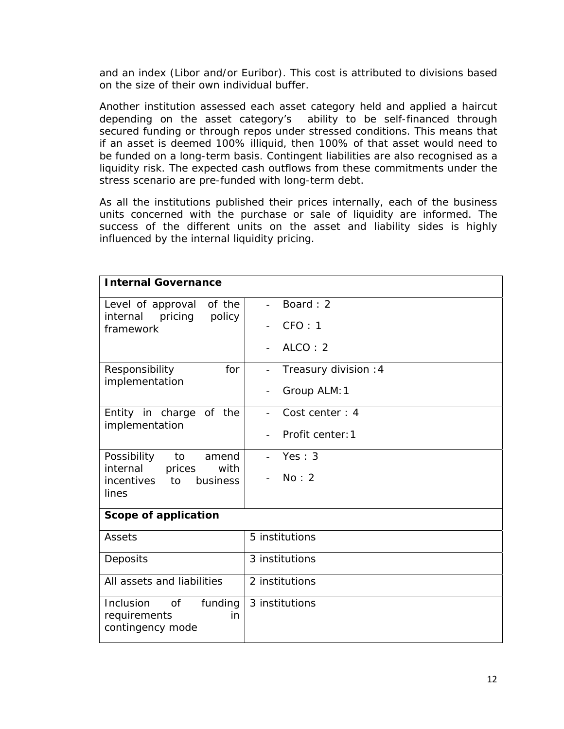and an index (Libor and/or Euribor). This cost is attributed to divisions based on the size of their own individual buffer.

Another institution assessed each asset category held and applied a haircut depending on the asset category's ability to be self-financed through secured funding or through repos under stressed conditions. This means that if an asset is deemed 100% illiquid, then 100% of that asset would need to be funded on a long-term basis. Contingent liabilities are also recognised as a liquidity risk. The expected cash outflows from these commitments under the stress scenario are pre-funded with long-term debt.

As all the institutions published their prices internally, each of the business units concerned with the purchase or sale of liquidity are informed. The success of the different units on the asset and liability sides is highly influenced by the internal liquidity pricing.

| <b>Internal Governance</b>                                                                        |                                              |  |  |  |
|---------------------------------------------------------------------------------------------------|----------------------------------------------|--|--|--|
| of the<br>Level of approval<br>policy<br>internal<br>pricing<br>framework                         | Board: 2<br>$\overline{a}$                   |  |  |  |
|                                                                                                   | CFO: 1<br>$\overline{\phantom{a}}$           |  |  |  |
|                                                                                                   | ALCO: 2                                      |  |  |  |
| for<br>Responsibility<br>implementation                                                           | Treasury division : 4                        |  |  |  |
|                                                                                                   | Group ALM: 1                                 |  |  |  |
| Entity in charge of the<br>implementation                                                         | Cost center: 4                               |  |  |  |
|                                                                                                   | Profit center: 1<br>$\overline{\phantom{a}}$ |  |  |  |
| Possibility<br>to<br>amend<br>internal<br>prices<br>with<br>business<br>incentives<br>to<br>lines | Yes: 3                                       |  |  |  |
|                                                                                                   | No: 2                                        |  |  |  |
| Scope of application                                                                              |                                              |  |  |  |
| Assets                                                                                            | 5 institutions                               |  |  |  |
| Deposits                                                                                          | 3 institutions                               |  |  |  |
| All assets and liabilities                                                                        | 2 institutions                               |  |  |  |
| Inclusion<br>of<br>funding<br>requirements<br>in<br>contingency mode                              | 3 institutions                               |  |  |  |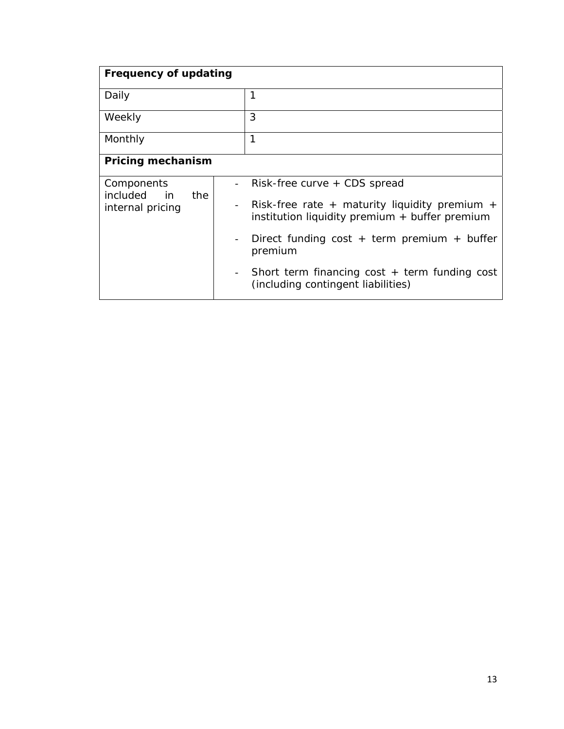| <b>Frequency of updating</b>                         |                          |                                                                                                 |  |  |
|------------------------------------------------------|--------------------------|-------------------------------------------------------------------------------------------------|--|--|
| Daily                                                |                          | 1                                                                                               |  |  |
| Weekly                                               |                          | 3                                                                                               |  |  |
| Monthly                                              |                          | 1                                                                                               |  |  |
| <b>Pricing mechanism</b>                             |                          |                                                                                                 |  |  |
| Components<br>included in<br>the<br>internal pricing |                          | Risk-free curve + CDS spread                                                                    |  |  |
|                                                      | $\overline{\phantom{a}}$ | Risk-free rate + maturity liquidity premium +<br>institution liquidity premium + buffer premium |  |  |
|                                                      | $\overline{\phantom{a}}$ | Direct funding cost + term premium + buffer<br>premium                                          |  |  |
|                                                      | $\overline{\phantom{a}}$ | Short term financing $cost + term$ funding $cost$<br>(including contingent liabilities)         |  |  |